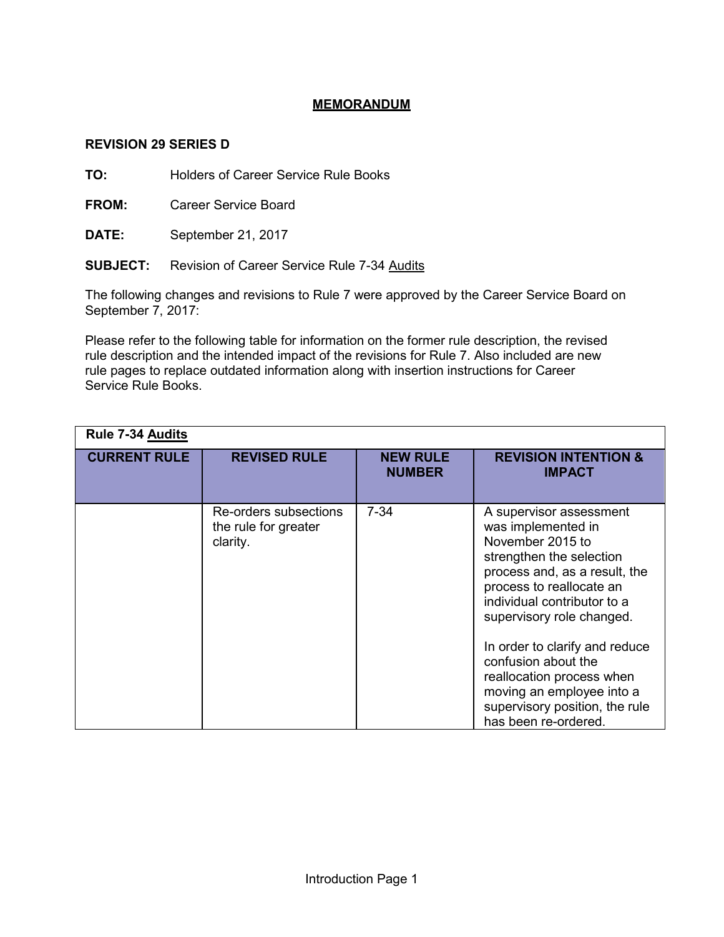## **MEMORANDUM**

## **REVISION 29 SERIES D**

**TO:** Holders of Career Service Rule Books

**FROM:** Career Service Board

**DATE:** September 21, 2017

**SUBJECT:** Revision of Career Service Rule 7-34 Audits

The following changes and revisions to Rule 7 were approved by the Career Service Board on September 7, 2017:

Please refer to the following table for information on the former rule description, the revised rule description and the intended impact of the revisions for Rule 7. Also included are new rule pages to replace outdated information along with insertion instructions for Career Service Rule Books.

| <b>Rule 7-34 Audits</b> |                                                           |                                  |                                                                                                                                                                                                                                                                                                                                                                                                     |  |  |
|-------------------------|-----------------------------------------------------------|----------------------------------|-----------------------------------------------------------------------------------------------------------------------------------------------------------------------------------------------------------------------------------------------------------------------------------------------------------------------------------------------------------------------------------------------------|--|--|
| <b>CURRENT RULE</b>     | <b>REVISED RULE</b>                                       | <b>NEW RULE</b><br><b>NUMBER</b> | <b>REVISION INTENTION &amp;</b><br><b>IMPACT</b>                                                                                                                                                                                                                                                                                                                                                    |  |  |
|                         | Re-orders subsections<br>the rule for greater<br>clarity. | $7 - 34$                         | A supervisor assessment<br>was implemented in<br>November 2015 to<br>strengthen the selection<br>process and, as a result, the<br>process to reallocate an<br>individual contributor to a<br>supervisory role changed.<br>In order to clarify and reduce<br>confusion about the<br>reallocation process when<br>moving an employee into a<br>supervisory position, the rule<br>has been re-ordered. |  |  |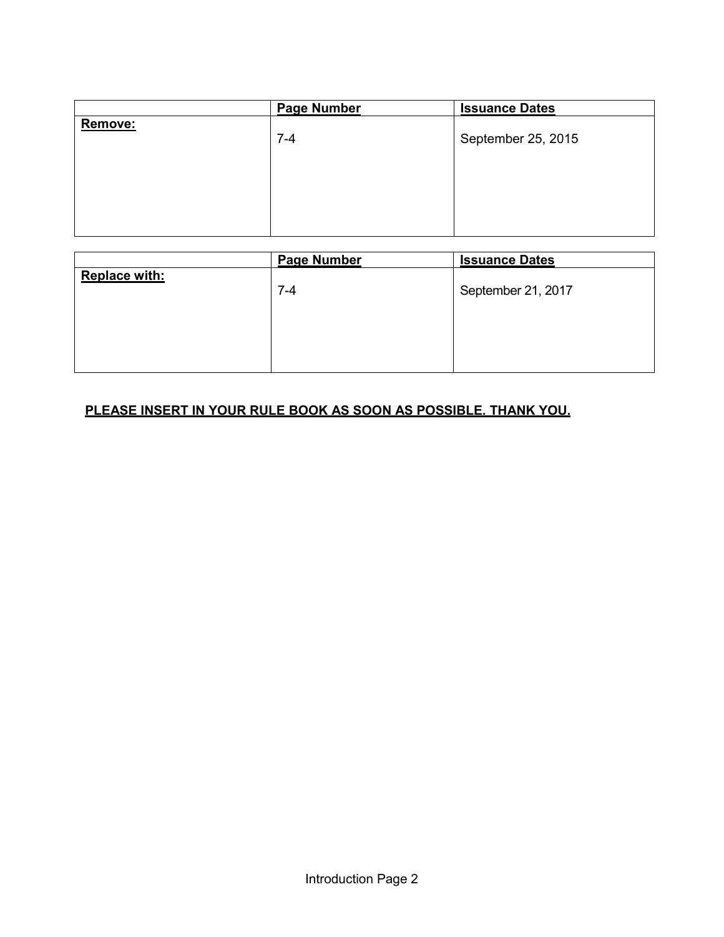|         | <b>Page Number</b> | <b>Issuance Dates</b> |
|---------|--------------------|-----------------------|
| Remove: | $7 - 4$            | September 25, 2015    |
|         |                    |                       |

|                      | <b>Page Number</b> | <b>Issuance Dates</b> |
|----------------------|--------------------|-----------------------|
| <b>Replace with:</b> | $7 - 4$            | September 21, 2017    |
|                      |                    |                       |

## **PLEASE INSERT IN YOUR RULE BOOK AS SOON AS POSSIBLE. THANK YOU.**